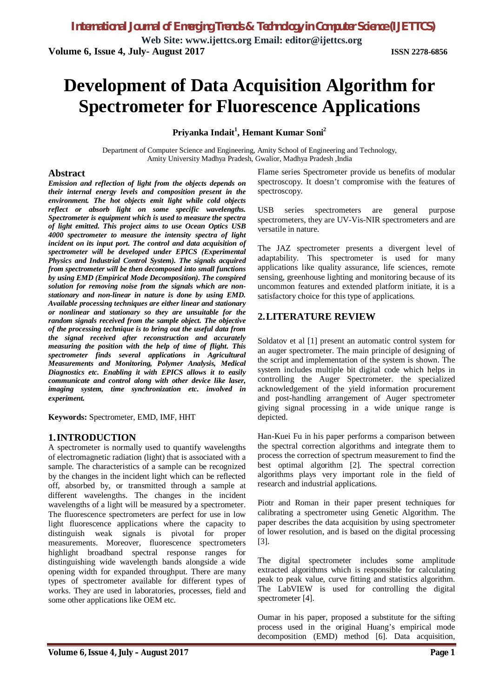**Web Site: www.ijettcs.org Email: editor@ijettcs.org Volume 6, Issue 4, July- August 2017 ISSN 2278-6856**

# **Development of Data Acquisition Algorithm for Spectrometer for Fluorescence Applications**

#### **Priyanka Indait<sup>1</sup> , Hemant Kumar Soni<sup>2</sup>**

Department of Computer Science and Engineering, Amity School of Engineering and Technology, Amity University Madhya Pradesh, Gwalior, Madhya Pradesh ,India

#### **Abstract**

*Emission and reflection of light from the objects depends on their internal energy levels and composition present in the environment. The hot objects emit light while cold objects reflect or absorb light on some specific wavelengths. Spectrometer is equipment which is used to measure the spectra of light emitted. This project aims to use Ocean Optics USB 4000 spectrometer to measure the intensity spectra of light incident on its input port. The control and data acquisition of spectrometer will be developed under EPICS (Experimental Physics and Industrial Control System). The signals acquired from spectrometer will be then decomposed into small functions by using EMD (Empirical Mode Decomposition). The conspired solution for removing noise from the signals which are nonstationary and non-linear in nature is done by using EMD. Available processing techniques are either linear and stationary or nonlinear and stationary so they are unsuitable for the random signals received from the sample object. The objective of the processing technique is to bring out the useful data from the signal received after reconstruction and accurately measuring the position with the help of time of flight***.** *This spectrometer finds several applications in Agricultural Measurements and Monitoring, Polymer Analysis, Medical Diagnostics etc. Enabling it with EPICS allows it to easily communicate and control along with other device like laser, imaging system, time synchronization etc. involved in experiment.*

**Keywords:** Spectrometer, EMD, IMF, HHT

#### **1.INTRODUCTION**

A spectrometer is normally used to quantify wavelengths of electromagnetic radiation (light) that is associated with a sample. The characteristics of a sample can be recognized by the changes in the incident light which can be reflected off, absorbed by, or transmitted through a sample at different wavelengths. The changes in the incident wavelengths of a light will be measured by a spectrometer. The fluorescence spectrometers are perfect for use in low light fluorescence applications where the capacity to distinguish weak signals is pivotal for proper measurements. Moreover, fluorescence spectrometers highlight broadband spectral response ranges for distinguishing wide wavelength bands alongside a wide opening width for expanded throughput. There are many types of spectrometer available for different types of works. They are used in laboratories, processes, field and some other applications like OEM etc.

Flame series Spectrometer provide us benefits of modular spectroscopy. It doesn't compromise with the features of spectroscopy.

USB series spectrometers are general purpose spectrometers, they are UV-Vis-NIR spectrometers and are versatile in nature.

The JAZ spectrometer presents a divergent level of adaptability. This spectrometer is used for many applications like quality assurance, life sciences, remote sensing, greenhouse lighting and monitoring because of its uncommon features and extended platform initiate, it is a satisfactory choice for this type of applications.

#### **2.LITERATURE REVIEW**

Soldatov et al [1] present an automatic control system for an auger spectrometer. The main principle of designing of the script and implementation of the system is shown. The system includes multiple bit digital code which helps in controlling the Auger Spectrometer. the specialized acknowledgement of the yield information procurement and post-handling arrangement of Auger spectrometer giving signal processing in a wide unique range is depicted.

Han-Kuei Fu in his paper performs a comparison between the spectral correction algorithms and integrate them to process the correction of spectrum measurement to find the best optimal algorithm [2]. The spectral correction algorithms plays very important role in the field of research and industrial applications.

Piotr and Roman in their paper present techniques for calibrating a spectrometer using Genetic Algorithm. The paper describes the data acquisition by using spectrometer of lower resolution, and is based on the digital processing [3].

The digital spectrometer includes some amplitude extracted algorithms which is responsible for calculating peak to peak value, curve fitting and statistics algorithm. The LabVIEW is used for controlling the digital spectrometer [4].

Oumar in his paper, proposed a substitute for the sifting process used in the original Huang's empirical mode decomposition (EMD) method [6]. Data acquisition,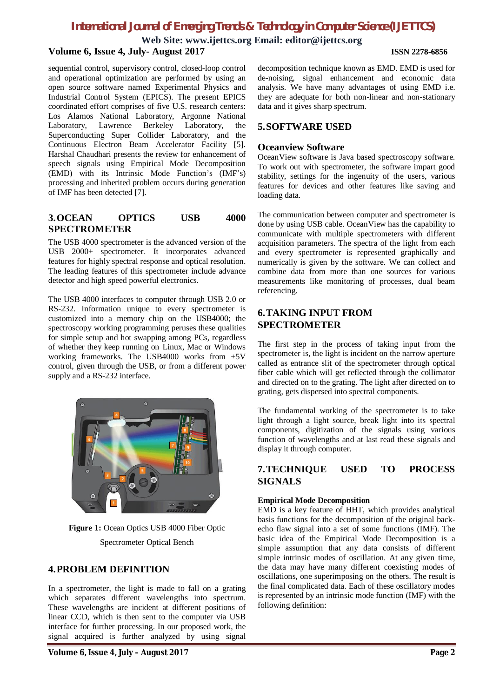### *International Journal of Emerging Trends & Technology in Computer Science (IJETTCS)*

**Web Site: www.ijettcs.org Email: editor@ijettcs.org Volume 6, Issue 4, July- August 2017 ISSN 2278-6856**

sequential control, supervisory control, closed-loop control and operational optimization are performed by using an open source software named Experimental Physics and Industrial Control System (EPICS). The present EPICS coordinated effort comprises of five U.S. research centers: Los Alamos National Laboratory, Argonne National Laboratory, Lawrence Berkeley Laboratory, the Superconducting Super Collider Laboratory, and the Continuous Electron Beam Accelerator Facility [5]. Harshal Chaudhari presents the review for enhancement of speech signals using Empirical Mode Decomposition (EMD) with its Intrinsic Mode Function's (IMF's) processing and inherited problem occurs during generation of IMF has been detected [7].

#### **3.OCEAN OPTICS USB 4000 SPECTROMETER**

The USB 4000 spectrometer is the advanced version of the USB 2000+ spectrometer. It incorporates advanced features for highly spectral response and optical resolution. The leading features of this spectrometer include advance detector and high speed powerful electronics.

The USB 4000 interfaces to computer through USB 2.0 or RS-232. Information unique to every spectrometer is customized into a memory chip on the USB4000; the spectroscopy working programming peruses these qualities for simple setup and hot swapping among PCs, regardless of whether they keep running on Linux, Mac or Windows working frameworks. The USB4000 works from +5V control, given through the USB, or from a different power supply and a RS-232 interface.



**Figure 1:** Ocean Optics USB 4000 Fiber Optic Spectrometer Optical Bench

#### **4.PROBLEM DEFINITION**

In a spectrometer, the light is made to fall on a grating which separates different wavelengths into spectrum. These wavelengths are incident at different positions of linear CCD, which is then sent to the computer via USB interface for further processing. In our proposed work, the signal acquired is further analyzed by using signal decomposition technique known as EMD. EMD is used for de-noising, signal enhancement and economic data analysis. We have many advantages of using EMD i.e. they are adequate for both non-linear and non-stationary data and it gives sharp spectrum.

#### **5.SOFTWARE USED**

#### **Oceanview Software**

OceanView software is Java based spectroscopy software. To work out with spectrometer, the software impart good stability, settings for the ingenuity of the users, various features for devices and other features like saving and loading data.

The communication between computer and spectrometer is done by using USB cable. OceanView has the capability to communicate with multiple spectrometers with different acquisition parameters. The spectra of the light from each and every spectrometer is represented graphically and numerically is given by the software. We can collect and combine data from more than one sources for various measurements like monitoring of processes, dual beam referencing.

#### **6.TAKING INPUT FROM SPECTROMETER**

The first step in the process of taking input from the spectrometer is, the light is incident on the narrow aperture called as entrance slit of the spectrometer through optical fiber cable which will get reflected through the collimator and directed on to the grating. The light after directed on to grating, gets dispersed into spectral components.

The fundamental working of the spectrometer is to take light through a light source, break light into its spectral components, digitization of the signals using various function of wavelengths and at last read these signals and display it through computer.

#### **7.TECHNIQUE USED TO PROCESS SIGNALS**

#### **Empirical Mode Decomposition**

EMD is a key feature of HHT, which provides analytical basis functions for the decomposition of the original backecho flaw signal into a set of some functions (IMF). The basic idea of the Empirical Mode Decomposition is a simple assumption that any data consists of different simple intrinsic modes of oscillation. At any given time, the data may have many different coexisting modes of oscillations, one superimposing on the others. The result is the final complicated data. Each of these oscillatory modes is represented by an intrinsic mode function (IMF) with the following definition: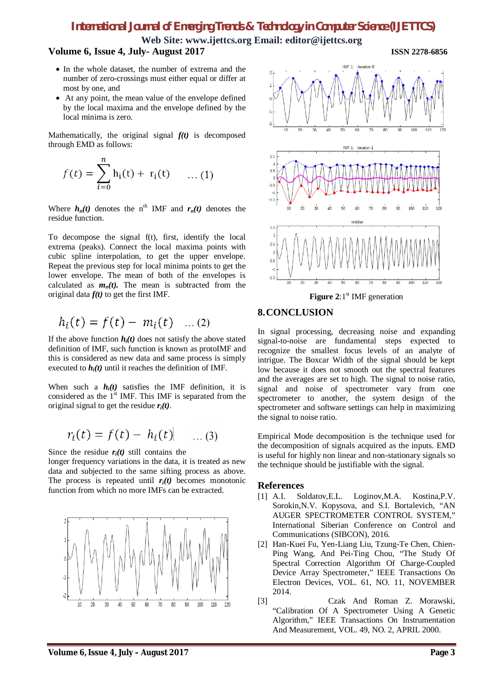## *International Journal of Emerging Trends & Technology in Computer Science (IJETTCS)*

**Web Site: www.ijettcs.org Email: editor@ijettcs.org**

#### **Volume 6, Issue 4, July- August 2017 ISSN 2278-6856**

- In the whole dataset, the number of extrema and the number of zero-crossings must either equal or differ at most by one, and
- At any point, the mean value of the envelope defined by the local maxima and the envelope defined by the local minima is zero.

Mathematically, the original signal  $f(t)$  is decomposed through EMD as follows:

$$
f(t) = \sum_{i=0}^{n} h_i(t) + r_i(t) \quad \dots (1)
$$

Where  $h_n(t)$  denotes the n<sup>th</sup> IMF and  $r_n(t)$  denotes the residue function.

To decompose the signal f(t), first, identify the local extrema (peaks). Connect the local maxima points with cubic spline interpolation, to get the upper envelope. Repeat the previous step for local minima points to get the lower envelope. The mean of both of the envelopes is calculated as  $m_n(t)$ . The mean is subtracted from the original data *f(t)* to get the first IMF.

$$
h_i(t) = f(t) - m_i(t)
$$
 ... (2)

If the above function  $h_i(t)$  does not satisfy the above stated definition of IMF, such function is known as protoIMF and this is considered as new data and same process is simply executed to  $h_i(t)$  until it reaches the definition of IMF.

When such a  $h_i(t)$  satisfies the IMF definition, it is considered as the 1<sup>st</sup> IMF. This IMF is separated from the original signal to get the residue *ri(t)*.

$$
r_i(t) = f(t) - h_i(t) \quad \dots (3)
$$

Since the residue  $r_i(t)$  still contains the

longer frequency variations in the data, it is treated as new data and subjected to the same sifting process as above. The process is repeated until  $r_i(t)$  becomes monotonic function from which no more IMFs can be extracted.





#### **8.CONCLUSION**

In signal processing, decreasing noise and expanding signal-to-noise are fundamental steps expected to recognize the smallest focus levels of an analyte of intrigue. The Boxcar Width of the signal should be kept low because it does not smooth out the spectral features and the averages are set to high. The signal to noise ratio, signal and noise of spectrometer vary from one spectrometer to another, the system design of the spectrometer and software settings can help in maximizing the signal to noise ratio.

Empirical Mode decomposition is the technique used for the decomposition of signals acquired as the inputs. EMD is useful for highly non linear and non-stationary signals so the technique should be justifiable with the signal.

#### **References**

- [1] A.I. Soldatov,E.L. Loginov,M.A. Kostina,P.V. Sorokin,N.V. Kopysova, and S.I. Bortalevich, "AN AUGER SPECTROMETER CONTROL SYSTEM," International Siberian Conference on Control and Communications (SIBCON), 2016.
- [2] Han-Kuei Fu, Yen-Liang Liu, Tzung-Te Chen, Chien-Ping Wang, And Pei-Ting Chou, "The Study Of Spectral Correction Algorithm Of Charge-Coupled Device Array Spectrometer," IEEE Transactions On Electron Devices, VOL. 61, NO. 11, NOVEMBER 2014.
- [3] Czak And Roman Z. Morawski, "Calibration Of A Spectrometer Using A Genetic Algorithm," IEEE Transactions On Instrumentation And Measurement, VOL. 49, NO. 2, APRIL 2000.